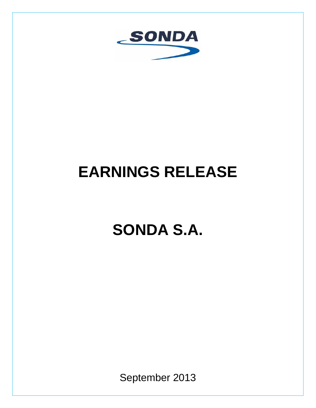

# **EARNINGS RELEASE**

# **SONDA S.A.**

September 2013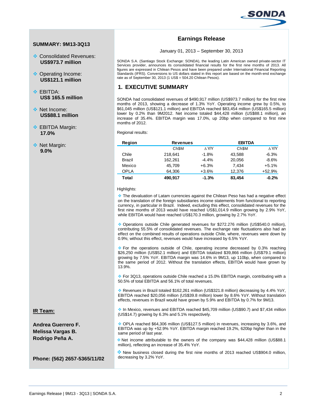

# **SUMMARY: 9M13-3Q13**

- Consolidated Revenues: **US\$973.7 million**
- ◆ Operating Income: **US\$121.1 million**
- ❖ FRITDA· **US\$ 165.5 million**
- ◆ Net Income: **US\$88.1 million**
- **EBITDA Margin: 17.0%**
- **EXEC** Margin: **9.0%**

**IR Team:**

**Andrea Guerrero F. Melissa Vargas B. Rodrigo Peña A.**

**Phone: (562) 2657-5365/11/02**

# **Earnings Release**

January 01, 2013 – September 30, 2013

SONDA S.A. (Santiago Stock Exchange: SONDA), the leading Latin American owned private-sector IT Services provider, announces its consolidated financial results for the first nine months of 2013. All figures are expressed in Chilean Pesos and have been prepared under International Financial Reporting Standards (IFRS). Conversions to US dollars stated in this report are based on the month-end exchange rate as of September 30, 2013 (1 US\$ = 504.20 Chilean Pesos).

# **1. EXECUTIVE SUMMARY**

SONDA had consolidated revenues of \$490,917 million (US\$973.7 million) for the first nine months of 2013, showing a decrease of 1.3% YoY. Operating income grew by 0.5%, to \$61,045 million (US\$121.1 million) and EBITDA reached \$83,454 million (US\$165.5 million) lower by 0.2% than 9M2012. Net income totaled \$44,428 million (US\$88.1 million), an increase of 35.4%. EBITDA margin was 17.0%, up 20bp when compared to first nine months of 2012.

Regional results:

| Region      | <b>Revenues</b>   |         | <b>EBITDA</b>     |              |
|-------------|-------------------|---------|-------------------|--------------|
|             | Ch <sub>\$M</sub> | A Y/Y   | Ch <sub>\$M</sub> | $\wedge$ Y/Y |
| Chile       | 218.641           | $-1.8%$ | 43.588            | $-6.3%$      |
| Brazil      | 162.261           | $-4.4%$ | 20,056            | $-8.6%$      |
| Mexico      | 45.709            | $+6.3%$ | 7.434             | $+5.1%$      |
| <b>OPLA</b> | 64.306            | $+3.6%$ | 12.376            | $+52.9%$     |
| Total       | 490,917           | $-1.3%$ | 83,454            | $-0.2%$      |

Highlights:

 The devaluation of Latam currencies against the Chilean Peso has had a negative effect on the translation of the foreign subsidiaries income statements from functional to reporting currency, in particular in Brazil. Indeed, excluding this effect, consolidated revenues for the first nine months of 2013 would have reached US\$1,014.9 million growing by 2.9% YoY, while EBITDA would have reached US\$170.3 million, growing by 2.7% YoY.

 Operations outside Chile generated revenues for \$272.276 million (US\$540.0 million), contributing 55.5% of consolidated revenues. The exchange rate fluctuations also had an effect on the combined results of operations outside Chile, where, revenues were down by 0.9%; without this effect, revenues would have increased by 6.5% YoY.

 For the operations outside of Chile, operating income decreased by 0.3% reaching \$26,250 million (US\$52.1 million) and EBITDA totalized \$39,866 million (US\$79.1 million) growing by 7.5% YoY. EBITDA margin was 14.6% in 9M13, up 110bp, when compared to the same period of 2012. Without the translation effects, EBITDA would have grown by 13.9%.

 For 3Q13, operations outside Chile reached a 15.0% EBITDA margin, contributing with a 50.5% of total EBITDA and 56.1% of total revenues.

 Revenues in Brazil totaled \$162,261 million (US\$321.8 million) decreasing by 4.4% YoY, EBITDA reached \$20,056 million (US\$39.8 million) lower by 8.6% YoY. Without translation effects, revenues in Brazil would have grown by 5.9% and EBITDA by 0.7% for 9M13.

 In Mexico, revenues and EBITDA reached \$45,709 million (US\$90.7) and \$7,434 million (US\$14.7) growing by 6.3% and 5.1% respectively.

 OPLA reached \$64,306 million (US\$127.5 million) in revenues, increasing by 3.6%, and EBITDA was up by +52.9% YoY. EBITDA margin reached 19.2%, 620bp higher than in the same period of last year.

 Net income attributable to the owners of the company was \$44,428 million (US\$88.1 million), reflecting an increase of 35.4% YoY.

 $\cdot$  New business closed during the first nine months of 2013 reached US\$904.0 million, decreasing by 3.2% YoY.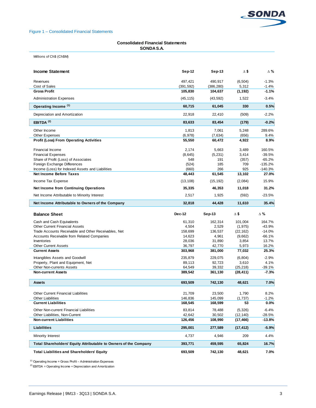

# Figure 1 – Consolidated Financial Statements

# **Consolidated Financial Statements**

**SONDA S.A.**

Millions of Ch\$ (Ch\$M)

| <b>Income Statement</b>                                          | Sep-12             | Sep-13             | Δ\$                    | Δ%                  |
|------------------------------------------------------------------|--------------------|--------------------|------------------------|---------------------|
| Revenues                                                         | 497,421            | 490,917            | (6, 504)               | $-1.3%$             |
| Cost of Sales                                                    | (391, 592)         | (386, 280)         | 5,312                  | $-1.4%$             |
| <b>Gross Profit</b>                                              | 105,830            | 104,637            | (1, 192)               | $-1.1%$             |
| <b>Administration Expenses</b>                                   | (45, 115)          | (43, 592)          | 1,522                  | $-3.4%$             |
| Operating Income <sup>(1)</sup>                                  | 60,715             | 61,045             | 330                    | 0.5%                |
| Depreciation and Amortization                                    | 22,918             | 22,410             | (509)                  | $-2.2%$             |
| EBITDA <sup>(2)</sup>                                            | 83,633             | 83,454             | (179)                  | $-0.2%$             |
| Other Income                                                     | 1,813              | 7,061              | 5,248                  | 289.6%              |
| <b>Other Expenses</b>                                            | (6,978)            | (7,634)            | (656)                  | 9.4%                |
| <b>Profit (Loss) From Operating Activities</b>                   | 55,550             | 60,472             | 4,922                  | 8.9%                |
| Financial Income                                                 | 2,174              | 5,663              | 3,489                  | 160.5%              |
| <b>Financial Expenses</b>                                        | (8,645)            | (5,231)            | 3,414                  | $-39.5%$            |
| Share of Profit (Loss) of Associates                             | 548                | 191                | (357)                  | $-65.2%$            |
| Foreign Exchange Differences                                     | (524)              | 185                | 709                    | $-135.2%$           |
| Income (Loss) for Indexed Assets and Liabilities                 | (660)              | 266                | 925                    | $-140.3%$           |
| <b>Net Income Before Taxes</b>                                   | 48,443             | 61,545             | 13,102                 | 27.0%               |
| Income Tax Expense                                               | (13, 108)          | (15, 192)          | (2,084)                | 15.9%               |
| <b>Net Income from Continuing Operations</b>                     | 35,335             | 46,353             | 11,018                 | 31.2%               |
| Net Income Attributable to Minority Interest                     | 2,517              | 1,925              | (592)                  | $-23.5%$            |
| Net Income Attributable to Owners of the Company                 | 32,818             | 44,428             | 11,610                 | 35.4%               |
|                                                                  |                    |                    |                        |                     |
|                                                                  |                    |                    |                        |                     |
| <b>Balance Sheet</b>                                             | <b>Dec-12</b>      | Sep-13             | Δ\$                    | Δ%                  |
| Cash and Cash Equivalents                                        | 61,310             | 162,314            | 101,004                | 164.7%              |
| Other Current Financial Assets                                   | 4,504              | 2,529              | (1, 975)               | $-43.9%$            |
| Trade Accounts Receivable and Other Receivables, Net             | 158,699            | 136,537            | (22, 162)              | $-14.0%$            |
| Accounts Receivable from Related Companies                       | 14,623             | 4,961              | (9,662)                | $-66.1%$            |
| Inventories                                                      | 28,036             | 31,890             | 3,854                  | 13.7%               |
| <b>Other Current Assets</b>                                      | 36,797             | 42,770             | 5,973                  | 16.2%               |
| <b>Current Assets</b>                                            | 303,968            | 381,000            | 77,032                 | 25.3%               |
|                                                                  |                    |                    |                        |                     |
| Intangibles Assets and Goodwill                                  | 235,879            | 229,075            | (6, 804)               | $-2.9%$             |
| Property, Plant and Equipment, Net                               | 89,113             | 92,723             | 3,610                  | 4.1%                |
| <b>Other Non-currents Assets</b><br><b>Non-current Assets</b>    | 64,549<br>389,542  | 39,332<br>361,130  | (25, 218)<br>(28, 411) | $-39.1%$<br>$-7.3%$ |
|                                                                  |                    |                    |                        |                     |
| <b>Assets</b>                                                    | 693,509            | 742,130            | 48,621                 | 7.0%                |
| <b>Other Current Financial Liabilities</b>                       | 21,709             | 23,500             | 1,790                  | 8.2%                |
|                                                                  |                    |                    |                        |                     |
| <b>Other Liabilities</b><br><b>Current Liabilities</b>           | 146,836<br>168,545 | 145,099<br>168,599 | (1,737)<br>53          | $-1.2%$<br>0.0%     |
|                                                                  |                    |                    |                        |                     |
| Other Non-current Financial Liabilities                          | 83,814             | 78,488             | (5, 326)               | $-6.4%$<br>$-28.5%$ |
| Other Liabilities, Non-Current<br><b>Non-current Liabilities</b> | 42,642<br>126,456  | 30,502<br>108,990  | (12, 140)<br>(17, 466) | -13.8%              |
| <b>Liabilities</b>                                               | 295,001            | 277,589            | (17, 412)              | $-5.9%$             |
| Minority Interest                                                | 4,737              | 4,946              | 209                    | 4.4%                |
| Total Shareholders' Equity Attributable to Owners of the Company | 393,771            | 459,595            | 65,824                 | <b>16.7%</b>        |

 $(1)$  Operating Income = Gross Profit – Administration Expenses

 $(2)$  EBITDA = Operating Income + Depreciation and Amortization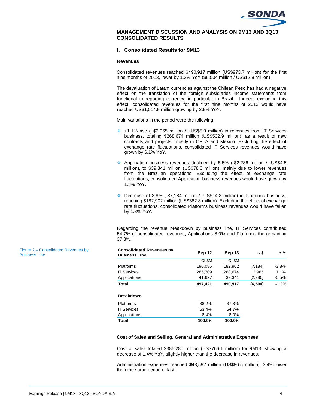

# **MANAGEMENT DISCUSSION AND ANALYSIS ON 9M13 AND 3Q13 CONSOLIDATED RESULTS**

# **I. Consolidated Results for 9M13**

#### **Revenues**

Consolidated revenues reached \$490,917 million (US\$973.7 million) for the first nine months of 2013, lower by 1.3% YoY (\$6,504 million / US\$12.9 million).

The devaluation of Latam currencies against the Chilean Peso has had a negative effect on the translation of the foreign subsidiaries income statements from functional to reporting currency, in particular in Brazil. Indeed, excluding this effect, consolidated revenues for the first nine months of 2013 would have reached US\$1,014.9 million growing by 2.9% YoY.

Main variations in the period were the following:

- +1.1% rise (+\$2,965 million / +US\$5.9 million) in revenues from IT Services business, totaling \$268,674 million (US\$532.9 million), as a result of new contracts and projects, mostly in OPLA and Mexico. Excluding the effect of exchange rate fluctuations, consolidated IT Services revenues would have grown by 6.1% YoY.
- Application business revenues declined by 5.5% (-\$2,286 million / -US\$4.5 million), to \$39,341 million (US\$78.0 million), mainly due to lower revenues from the Brazilian operations. Excluding the effect of exchange rate fluctuations, consolidated Application business revenues would have grown by 1.3% YoY.
- Decrease of 3.8% (-\$7,184 million / -US\$14.2 million) in Platforms business, reaching \$182,902 million (US\$362.8 million). Excluding the effect of exchange rate fluctuations, consolidated Platforms business revenues would have fallen by 1.3% YoY.

Regarding the revenue breakdown by business line, IT Services contributed 54.7% of consolidated revenues, Applications 8.0% and Platforms the remaining 37.3%.

| $Sep-12$ | $Sep-13$          | Δ\$      | $\Delta$ % |
|----------|-------------------|----------|------------|
| Ch\$M    | Ch <sub>\$M</sub> |          |            |
| 190,086  | 182,902           | (7, 184) | $-3.8%$    |
| 265,709  | 268,674           | 2,965    | 1.1%       |
| 41,627   | 39,341            | (2, 286) | $-5.5%$    |
| 497,421  | 490,917           | (6, 504) | $-1.3%$    |
|          |                   |          |            |
| 38.2%    | 37.3%             |          |            |
| 53.4%    | 54.7%             |          |            |
| 8.4%     | 8.0%              |          |            |
| 100.0%   | 100.0%            |          |            |
|          |                   |          |            |

# **Cost of Sales and Selling, General and Administrative Expenses**

Cost of sales totaled \$386,280 million (US\$766.1 million) for 9M13, showing a decrease of 1.4% YoY, slightly higher than the decrease in revenues.

Administration expenses reached \$43,592 million (US\$86.5 million), 3.4% lower than the same period of last.

Figure 2 – Consolidated Revenues by Business Line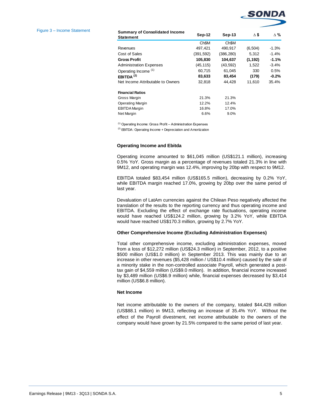

#### Figure 3 – Income Statement

| <b>Summary of Consolidated Income</b><br><b>Statement</b> | Sep-12            | $Sep-13$          | Δ\$      | $\wedge$ % |
|-----------------------------------------------------------|-------------------|-------------------|----------|------------|
|                                                           | Ch <sub>\$M</sub> | Ch <sub>\$M</sub> |          |            |
| Revenues                                                  | 497,421           | 490,917           | (6, 504) | $-1.3%$    |
| Cost of Sales                                             | (391,592)         | (386, 280)        | 5,312    | $-1.4%$    |
| <b>Gross Profit</b>                                       | 105,830           | 104,637           | (1, 192) | $-1.1%$    |
| <b>Administration Expenses</b>                            | (45, 115)         | (43, 592)         | 1,522    | $-3.4%$    |
| Operating Income <sup>(1)</sup>                           | 60,715            | 61,045            | 330      | 0.5%       |
| EBITDA $(2)$                                              | 83,633            | 83,454            | (179)    | $-0.2%$    |
| Net Income Attributable to Owners                         | 32,818            | 44.428            | 11.610   | 35.4%      |
| <b>Financial Ratios</b>                                   |                   |                   |          |            |
| Gross Margin                                              | 21.3%             | 21.3%             |          |            |
| <b>Operating Margin</b>                                   | 12.2%             | 12.4%             |          |            |
| <b>EBITDA Margin</b>                                      | 16.8%             | 17.0%             |          |            |
| Net Margin                                                | 6.6%              | $9.0\%$           |          |            |

(1) Operating Income: Gross Profit – Administration Expenses

(2) EBITDA: Operating Income + Depreciation and Amortization

#### **Operating Income and Ebitda**

Operating income amounted to \$61,045 million (US\$121.1 million), increasing 0.5% YoY. Gross margin as a percentage of revenues totaled 21.3% in line with 9M12, and operating margin was 12.4%, improving by 20bp with respect to 9M12.

EBITDA totaled \$83,454 million (US\$165.5 million), decreasing by 0.2% YoY, while EBITDA margin reached 17.0%, growing by 20bp over the same period of last year.

Devaluation of LatAm currencies against the Chilean Peso negatively affected the translation of the results to the reporting currency and thus operating income and EBITDA. Excluding the effect of exchange rate fluctuations, operating income would have reached US\$124.2 million, growing by 3.2% YoY, while EBITDA would have reached US\$170.3 million, growing by 2.7% YoY.

#### **Other Comprehensive Income (Excluding Administration Expenses)**

Total other comprehensive income, excluding administration expenses, moved from a loss of \$12,272 million (US\$24.3 million) in September, 2012, to a positive \$500 million (US\$1.0 million) in September 2013. This was mainly due to an increase in other revenues (\$5,428 million / US\$10.4 million) caused by the sale of a minority stake in the non-controlled associate Payroll, which generated a posttax gain of \$4,559 million (US\$9.0 million). In addition, financial income increased by \$3,489 million (US\$6.9 million) while, financial expenses decreased by \$3,414 million (US\$6.8 million).

#### **Net Income**

Net income attributable to the owners of the company, totaled \$44,428 million (US\$88.1 million) in 9M13, reflecting an increase of 35.4% YoY. Without the effect of the Payroll divestment, net income attributable to the owners of the company would have grown by 21.5% compared to the same period of last year.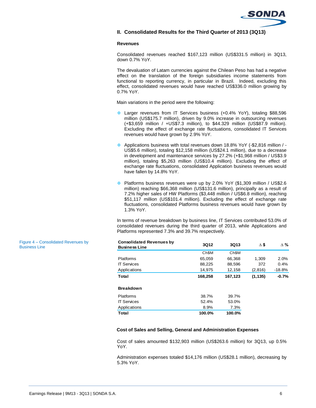

# **II. Consolidated Results for the Third Quarter of 2013 (3Q13)**

#### **Revenues**

Consolidated revenues reached \$167,123 million (US\$331.5 million) in 3Q13, down 0.7% YoY.

The devaluation of Latam currencies against the Chilean Peso has had a negative effect on the translation of the foreign subsidiaries income statements from functional to reporting currency, in particular in Brazil. Indeed, excluding this effect, consolidated revenues would have reached US\$336.0 million growing by 0.7% YoY.

Main variations in the period were the following:

- Larger revenues from IT Services business (+0.4% YoY), totaling \$88,596 million (US\$175.7 million), driven by 9.0% increase in outsourcing revenues (+\$3,659 million / +US\$7.3 million), to \$44.329 million (US\$87.9 million). Excluding the effect of exchange rate fluctuations, consolidated IT Services revenues would have grown by 2.9% YoY.
- Applications business with total revenues down 18.8% YoY (-\$2,816 million / US\$5.6 million), totaling \$12,158 million (US\$24.1 million), due to a decrease in development and maintenance services by 27.2% (+\$1,968 million / US\$3.9 million), totaling \$5,263 million (US\$10.4 million). Excluding the effect of exchange rate fluctuations, consolidated Application business revenues would have fallen by 14.8% YoY.
- Platforms business revenues were up by 2.0% YoY (\$1,309 million / US\$2.6 million) reaching \$66,368 million (US\$131.6 million), principally as a result of 7.2% higher sales of HW Platforms (\$3,448 million / US\$6.8 million), reaching \$51,117 million (US\$101.4 million). Excluding the effect of exchange rate fluctuations, consolidated Platforms business revenues would have grown by 1.3% YoY.

In terms of revenue breakdown by business line, IT Services contributed 53.0% of consolidated revenues during the third quarter of 2013, while Applications and Platforms represented 7.3% and 39.7% respectively.

| <b>Consolidated Revenues by</b><br><b>Business Line</b> | <b>3Q12</b> | <b>3Q13</b>       | Δ\$      | $\Delta \%$ |
|---------------------------------------------------------|-------------|-------------------|----------|-------------|
|                                                         | Ch\$M       | Ch <sub>\$M</sub> |          |             |
| <b>Platforms</b>                                        | 65,059      | 66,368            | 1,309    | 2.0%        |
| <b>IT Services</b>                                      | 88,225      | 88,596            | 372      | 0.4%        |
| Applications                                            | 14,975      | 12,158            | (2,816)  | $-18.8%$    |
| Total                                                   | 168,258     | 167,123           | (1, 135) | $-0.7%$     |
| <b>Breakdown</b>                                        |             |                   |          |             |
| <b>Platforms</b>                                        | 38.7%       | 39.7%             |          |             |
| <b>IT Services</b>                                      | 52.4%       | 53.0%             |          |             |
| Applications                                            | 8.9%        | 7.3%              |          |             |
| Total                                                   | 100.0%      | 100.0%            |          |             |

### **Cost of Sales and Selling, General and Administration Expenses**

Cost of sales amounted \$132,903 million (US\$263.6 million) for 3Q13, up 0.5% YoY.

Administration expenses totaled \$14,176 million (US\$28.1 million), decreasing by 5.3% YoY.

Figure 4 – Consolidated Revenues by Business Line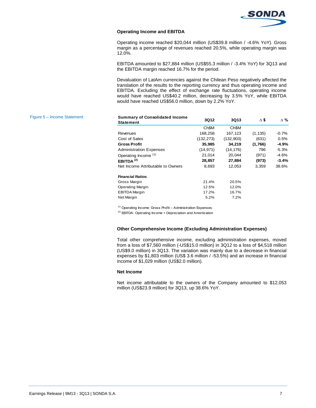

## **Operating Income and EBITDA**

Operating income reached \$20,044 million (US\$39.8 million / -4.6% YoY). Gross margin as a percentage of revenues reached 20.5%, while operating margin was 12.0%.

EBITDA amounted to \$27,884 million (US\$55.3 million / -3.4% YoY) for 3Q13 and the EBITDA margin reached 16.7% for the period.

Devaluation of LatAm currencies against the Chilean Peso negatively affected the translation of the results to the reporting currency and thus operating income and EBITDA. Excluding the effect of exchange rate fluctuations, operating income would have reached US\$40.2 million, decreasing by 3.5% YoY, while EBITDA would have reached US\$56.0 million, down by 2.2% YoY.

| <b>Summary of Consolidated Income</b><br><b>Statement</b> | 3Q12              | 3Q13              | Δ\$      | $\Delta$ % |
|-----------------------------------------------------------|-------------------|-------------------|----------|------------|
|                                                           | Ch <sub>\$M</sub> | Ch <sub>\$M</sub> |          |            |
| Revenues                                                  | 168,258           | 167,123           | (1, 135) | $-0.7\%$   |
| Cost of Sales                                             | (132, 273)        | (132, 903)        | (631)    | 0.5%       |
| <b>Gross Profit</b>                                       | 35,985            | 34,219            | (1,766)  | $-4.9%$    |
| <b>Administration Expenses</b>                            | (14, 971)         | (14, 176)         | 796      | $-5.3%$    |
| Operating Income <sup>(1)</sup>                           | 21.014            | 20.044            | (971)    | $-4.6%$    |
| EBITDA <sup>(2)</sup>                                     | 28,857            | 27,884            | (973)    | $-3.4%$    |
| Net Income Attributable to Owners                         | 8,693             | 12,053            | 3,359    | 38.6%      |
| <b>Financial Ratios</b>                                   |                   |                   |          |            |
| Gross Margin                                              | 21.4%             | 20.5%             |          |            |
| <b>Operating Margin</b>                                   | 12.5%             | 12.0%             |          |            |
| <b>EBITDA</b> Margin                                      | 17.2%             | 16.7%             |          |            |
| <b>Net Margin</b>                                         | 5.2%              | 7.2%              |          |            |

 $(1)$  Operating Income: Gross Profit – Administration Expenses

(2) EBITDA: Operating Income + Depreciation and Amortization

#### **Other Comprehensive Income (Excluding Administration Expenses)**

Total other comprehensive income, excluding administration expenses, moved from a loss of \$7,560 million (-US\$15.0 million) in 3Q12 to a loss of \$4,518 million (US\$9.0 million) in 3Q13. The variation was mainly due to a decrease in financial expenses by \$1,803 million (US\$ 3.6 million / -53.5%) and an increase in financial income of \$1,029 million (US\$2.0 million).

#### **Net Income**

Net income attributable to the owners of the Company amounted to \$12,053 million (US\$23.9 million) for 3Q13, up 38.6% YoY.

Figure 5 – Income Statement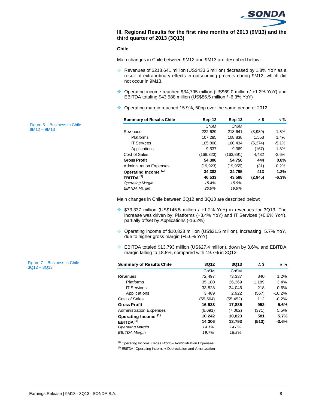

# **III. Regional Results for the first nine months of 2013 (9M13) and the third quarter of 2013 (3Q13)**

#### **Chile**

Main changes in Chile between 9M12 and 9M13 are described below:

- Revenues of \$218,641 million (US\$433.6 million) decreased by 1.8% YoY as a result of extraordinary effects in outsourcing projects during 9M12, which did not occur in 9M13.
- Operating income reached \$34,795 million (US\$69.0 million / +1.2% YoY) and EBITDA totaling \$43,588 million (US\$86.5 million / -6.3% YoY)
- Operating margin reached 15.9%, 50bp over the same period of 2012.

| <b>Summary of Results Chile</b> | Sep-12     | Sep-13            | Δ\$      | $\Delta \%$ |
|---------------------------------|------------|-------------------|----------|-------------|
|                                 | Ch\$M      | Ch <sub>\$M</sub> |          |             |
| Revenues                        | 222,629    | 218,641           | (3,989)  | $-1.8%$     |
| Platforms                       | 107,285    | 108,838           | 1,553    | 1.4%        |
| <b>IT Services</b>              | 105,808    | 100,434           | (5, 374) | $-5.1%$     |
| Applications                    | 9,537      | 9.369             | (167)    | $-1.8%$     |
| Cost of Sales                   | (168, 323) | (163, 891)        | 4.432    | $-2.6%$     |
| <b>Gross Profit</b>             | 54,306     | 54,750            | 444      | 0.8%        |
| <b>Administration Expenses</b>  | (19, 923)  | (19, 955)         | (31)     | 0.2%        |
| Operating Income <sup>(1)</sup> | 34.382     | 34,795            | 413      | 1.2%        |
| EBITDA $(2)$                    | 46,533     | 43,588            | (2,945)  | $-6.3%$     |
| <b>Operating Margin</b>         | 15.4%      | 15.9%             |          |             |
| <b>EBITDA Margin</b>            | 20.9%      | 19.9%             |          |             |

Main changes in Chile between 3Q12 and 3Q13 are described below:

- \$73,337 million (US\$145.5 million / +1.2% YoY) in revenues for 3Q13. The increase was driven by: Platforms (+3.4% YoY) and IT Services (+0.6% YoY), partially offset by Applications (-16.2%)
- Operating income of \$10,823 million (US\$21.5 million), increasing 5.7% YoY, due to higher gross margin (+5.6% YoY)
- EBITDA totaled \$13,793 million (US\$27.4 million), down by 3.6%, and EBITDA margin falling to 18.8%, compared with 19.7% in 3Q12.

| <b>Summary of Results Chile</b> | 3Q12              | <b>3Q13</b>       | Δ\$   | $\Delta$ % |
|---------------------------------|-------------------|-------------------|-------|------------|
|                                 | Ch <sub>\$M</sub> | Ch <sub>\$M</sub> |       |            |
| Revenues                        | 72,497            | 73,337            | 840   | 1.2%       |
| Platforms                       | 35.180            | 36.369            | 1.189 | 3.4%       |
| <b>IT Services</b>              | 33.828            | 34.046            | 218   | 0.6%       |
| Applications                    | 3,489             | 2,922             | (567) | $-16.2%$   |
| Cost of Sales                   | (55,564)          | (55, 452)         | 112   | $-0.2%$    |
| <b>Gross Profit</b>             | 16,933            | 17,885            | 952   | 5.6%       |
| <b>Administration Expenses</b>  | (6,691)           | (7,062)           | (371) | 5.5%       |
| Operating Income <sup>(1)</sup> | 10.242            | 10,823            | 581   | 5.7%       |
| EBITDA $(2)$                    | 14,306            | 13.793            | (513) | $-3.6%$    |
| <b>Operating Margin</b>         | 14.1%             | 14.8%             |       |            |
| <b>EBITDA Margin</b>            | 19.7%             | 18.8%             |       |            |

 $(1)$  Operating Income: Gross Profit – Administration Expenses

(2) EBITDA: Operating Income + Depreciation and Amortization

Figure 6 – Business in Chile 9M12 – 9M13

Figure 7 – Business in Chile 3Q12 – 3Q13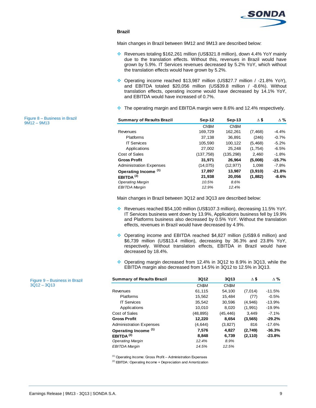

# **Brazil**

Main changes in Brazil between 9M12 and 9M13 are described below:

- Revenues totaling \$162,261 million (US\$321.8 million), down 4.4% YoY mainly due to the translation effects. Without this, revenues in Brazil would have grown by 5.9%. IT Services revenues decreased by 5.2% YoY, which without the translation effects would have grown by 5.2%.
- Operating income reached \$13,987 million (US\$27.7 million / -21.8% YoY), and EBITDA totaled \$20,056 million (US\$39.8 million / -8.6%). Without translation effects, operating income would have decreased by 14.1% YoY, and EBITDA would have increased of 0.7%.
- The operating margin and EBITDA margin were 8.6% and 12.4% respectively.

| <b>Summary of Results Brazil</b> | Sep-12            | $Sep-13$          | Δ\$      | $\Delta$ % |
|----------------------------------|-------------------|-------------------|----------|------------|
|                                  | Ch <sub>\$M</sub> | Ch <sub>\$M</sub> |          |            |
| Revenues                         | 169,729           | 162,261           | (7, 468) | $-4.4%$    |
| <b>Platforms</b>                 | 37,138            | 36,891            | (246)    | $-0.7%$    |
| <b>IT Services</b>               | 105,590           | 100,122           | (5, 468) | $-5.2%$    |
| Applications                     | 27,002            | 25,248            | (1,754)  | $-6.5%$    |
| Cost of Sales                    | (137, 758)        | (135, 298)        | 2.460    | $-1.8%$    |
| <b>Gross Profit</b>              | 31,971            | 26.964            | (5,008)  | $-15.7%$   |
| <b>Administration Expenses</b>   | (14, 075)         | (12, 977)         | 1,098    | $-7.8%$    |
| Operating Income (1)             | 17,897            | 13.987            | (3,910)  | $-21.8%$   |
| EBITDA $(2)$                     | 21,938            | 20,056            | (1,882)  | -8.6%      |
| <b>Operating Margin</b>          | 10.5%             | 8.6%              |          |            |
| <b>EBITDA Margin</b>             | 12.9%             | 12.4%             |          |            |

Main changes in Brazil between 3Q12 and 3Q13 are described below:

- Revenues reached \$54,100 million (US\$107.3 million), decreasing 11.5% YoY. IT Services business went down by 13.9%, Applications business fell by 19.9% and Platforms business also decreased by 0.5% YoY. Without the translation effects, revenues in Brazil would have decreased by 4.9%.
- Operating income and EBITDA reached \$4,827 million (US\$9.6 million) and \$6,739 million (US\$13.4 million), decreasing by 36.3% and 23.8% YoY, respectively. Without translation effects, EBITDA in Brazil would have decreased by 18.4%.
- $\div$  Operating margin decreased from 12.4% in 3Q12 to 8.9% in 3Q13, while the EBITDA margin also decreased from 14.5% in 3Q12 to 12.5% in 3Q13.

| <b>Summary of Results Brazil</b> | 3Q12              | 3Q13              | $\Delta$ \$ | Δ%       |
|----------------------------------|-------------------|-------------------|-------------|----------|
|                                  | Ch <sub>\$M</sub> | Ch <sub>\$M</sub> |             |          |
| Revenues                         | 61,115            | 54.100            | (7,014)     | $-11.5%$ |
| <b>Platforms</b>                 | 15,562            | 15,484            | (77)        | $-0.5%$  |
| <b>IT Services</b>               | 35,542            | 30,596            | (4,946)     | $-13.9%$ |
| Applications                     | 10,010            | 8,020             | (1,991)     | $-19.9%$ |
| Cost of Sales                    | (48, 895)         | (45, 446)         | 3,449       | $-7.1%$  |
| <b>Gross Profit</b>              | 12,220            | 8,654             | (3, 565)    | $-29.2%$ |
| <b>Administration Expenses</b>   | (4,644)           | (3,827)           | 816         | $-17.6%$ |
| Operating Income <sup>(1)</sup>  | 7,576             | 4,827             | (2,749)     | $-36.3%$ |
| EBITDA $(2)$                     | 8,848             | 6,739             | (2, 110)    | $-23.8%$ |
| <b>Operating Margin</b>          | 12.4%             | 8.9%              |             |          |
| <b>EBITDA Margin</b>             | 14.5%             | 12.5%             |             |          |

(1) Operating Income: Gross Profit – Administration Expenses

<sup>(2)</sup> EBITDA: Operating Income + Depreciation and Amortization

Figure 8 – Business in Brazil 9M12 – 9M13

> Figure 9 – Business in Brazil 3Q12 – 3Q13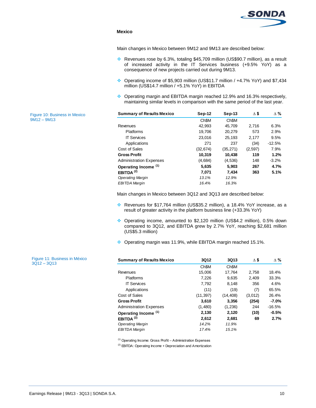

# **Mexico**

Main changes in Mexico between 9M12 and 9M13 are described below:

- Revenues rose by 6.3%, totaling \$45,709 million (US\$90.7 million), as a result of increased activity in the IT Services business (+9.5% YoY) as a consequence of new projects carried out during 9M13.
- Operating income of \$5,903 million (US\$11.7 million / +4.7% YoY) and \$7,434 million (US\$14.7 million / +5.1% YoY) in EBITDA
- ◆ Operating margin and EBITDA margin reached 12.9% and 16.3% respectively, maintaining similar levels in comparison with the same period of the last year.

| $Sep-12$          | $Sep-13$          | Δ\$     | Δ%       |
|-------------------|-------------------|---------|----------|
| Ch <sub>\$M</sub> | Ch <sub>\$M</sub> |         |          |
| 42,993            | 45,709            | 2.716   | 6.3%     |
| 19.706            | 20.279            | 573     | 2.9%     |
| 23,016            | 25.193            | 2.177   | 9.5%     |
| 271               | 237               | (34)    | $-12.5%$ |
| (32, 674)         | (35, 271)         | (2,597) | 7.9%     |
| 10,319            | 10,438            | 119     | 1.2%     |
| (4,684)           | (4,536)           | 148     | $-3.2%$  |
| 5,635             | 5,903             | 267     | 4.7%     |
| 7.071             | 7,434             | 363     | 5.1%     |
| 13.1%             | 12.9%             |         |          |
| 16.4%             | 16.3%             |         |          |
|                   |                   |         |          |

Main changes in Mexico between 3Q12 and 3Q13 are described below:

- Revenues for \$17,764 million (US\$35.2 million), a 18.4% YoY increase, as a result of greater activity in the platform business line (+33.3% YoY)
- Operating income, amounted to \$2,120 million (US\$4.2 million), 0.5% down compared to 3Q12, and EBITDA grew by 2.7% YoY, reaching \$2,681 million (US\$5.3 million)
- Operating margin was 11.9%, while EBITDA margin reached 15.1%.

| <b>Summary of Results Mexico</b> | 3Q12      | 3Q13              | Δ\$     | $\Delta$ % |
|----------------------------------|-----------|-------------------|---------|------------|
|                                  | Ch\$M     | Ch <sub>\$M</sub> |         |            |
| Revenues                         | 15,006    | 17,764            | 2,758   | 18.4%      |
| Platforms                        | 7,226     | 9,635             | 2,409   | 33.3%      |
| <b>IT Services</b>               | 7,792     | 8.148             | 356     | 4.6%       |
| Applications                     | (11)      | (19)              | (7)     | 65.5%      |
| Cost of Sales                    | (11, 397) | (14, 408)         | (3,012) | 26.4%      |
| <b>Gross Profit</b>              | 3,610     | 3,356             | (254)   | $-7.0\%$   |
| <b>Administration Expenses</b>   | (1,480)   | (1,236)           | 244     | $-16.5%$   |
| Operating Income <sup>(1)</sup>  | 2,130     | 2,120             | (10)    | $-0.5%$    |
| EBITDA $(2)$                     | 2,612     | 2.681             | 69      | 2.7%       |
| <b>Operating Margin</b>          | 14.2%     | 11.9%             |         |            |
| <b>EBITDA Margin</b>             | 17.4%     | 15.1%             |         |            |

(1) Operating Income: Gross Profit – Administration Expenses

(2) EBITDA: Operating Income + Depreciation and Amortization

Figure 10: Business in Mexico 9M12 – 9M13

Figure 11: Business in México

 $3012 - 3013$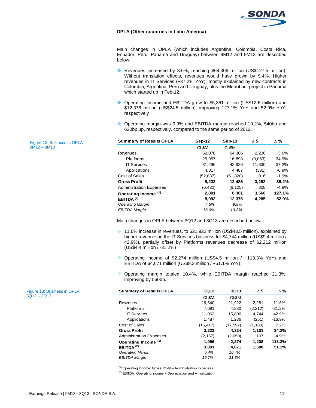

#### **OPLA (Other countries in Latin America)**

Main changes in OPLA (which includes Argentina, Colombia, Costa Rica, Ecuador, Peru, Panama and Uruguay) between 9M12 and 9M13 are described below:

- \* Revenues increased by 3.6%, reaching \$64,306 million (US\$127.5 million). Without translation effects, revenues would have grown by 9.4%. Higher revenues in IT Services (+37.2% YoY), mostly explained by new contracts in Colombia, Argentina, Peru and Uruguay, plus the Metrobus'-project in Panama which started up in Feb-12.
- Operating income and EBITDA grew to \$6,361 million (US\$12.6 million) and \$12,376 million (US\$24.5 million), improving 127.1% YoY and 52.9% YoY, respectively
- ◆ Operating margin was 9.9% and EBITDA margin reached 19.2%, 540bp and 620bp up, respectively, compared to the same period of 2012.

| <b>Summary of Results OPLA</b>  | Sep-12    | $Sep-13$  | Δ\$     | $\Delta$ % |  |
|---------------------------------|-----------|-----------|---------|------------|--|
|                                 | Ch\$M     | Ch\$M     |         |            |  |
| Revenues                        | 62.070    | 64,306    | 2,236   | 3.6%       |  |
| <b>Platforms</b>                | 25,957    | 16,893    | (9,063) | $-34.9%$   |  |
| <b>IT Services</b>              | 31,296    | 42,926    | 11,630  | 37.2%      |  |
| Applications                    | 4.817     | 4.487     | (331)   | $-6.9%$    |  |
| Cost of Sales                   | (52, 837) | (51, 820) | 1,016   | $-1.9%$    |  |
| <b>Gross Profit</b>             | 9,233     | 12,486    | 3,252   | 35.2%      |  |
| <b>Administration Expenses</b>  | (6, 432)  | (6, 125)  | 308     | $-4.8%$    |  |
| Operating Income <sup>(1)</sup> | 2,801     | 6,361     | 3,560   | 127.1%     |  |
| EBITDA $(2)$                    | 8,092     | 12,376    | 4,285   | 52.9%      |  |
| <b>Operating Margin</b>         | 4.5%      | 9.9%      |         |            |  |
| <b>EBITDA Margin</b>            | 13.0%     | 19.2%     |         |            |  |

Main changes in OPLA between 3Q12 and 3Q13 are described below:

- 11.6% increase in revenues, to \$21,922 million (US\$43.5 million), explained by higher revenues in the IT Services business for \$4,744 million (US\$9.4 million / 42.9%), partially offset by Platforms revenues decrease of \$2,212 million (US\$4.4 million / -31.2%)
- Operating income of \$2,274 million (US\$4.5 million / +113.3% YoY) and EBITDA of \$4,671 million (US\$9.3 million / +51.1% YoY).
- Operating margin totaled 10.4%, while EBITDA margin reached 21.3%, improving by 560bp.

| <b>Summary of Results OPLA</b>  | 3Q12              | 3Q13              | Δ\$      | $\Delta \%$ |
|---------------------------------|-------------------|-------------------|----------|-------------|
|                                 | Ch <sub>\$M</sub> | Ch <sub>\$M</sub> |          |             |
| Revenues                        | 19,640            | 21,922            | 2,281    | 11.6%       |
| <b>Platforms</b>                | 7.091             | 4,880             | (2, 212) | $-31.2%$    |
| <b>IT Services</b>              | 11.062            | 15.806            | 4.744    | 42.9%       |
| Applications                    | 1,487             | 1.236             | (251)    | $-16.9%$    |
| Cost of Sales                   | (16, 417)         | (17, 597)         | (1, 180) | 7.2%        |
| <b>Gross Profit</b>             | 3,223             | 4.324             | 1.101    | 34.2%       |
| <b>Administration Expenses</b>  | (2, 157)          | (2,050)           | 107      | $-4.9%$     |
| Operating Income <sup>(1)</sup> | 1.066             | 2.274             | 1.208    | 113.3%      |
| EBITDA $(2)$                    | 3.091             | 4.671             | 1,580    | 51.1%       |
| <b>Operating Margin</b>         | 5.4%              | 10.4%             |          |             |
| <b>EBITDA Margin</b>            | 15.7%             | 21.3%             |          |             |

(1) Operating Income: Gross Profit – Administration Expenses

 $(2)$  EBITDA: Operating Income + Depreciation and Amortization

Figure 12: Business in OPLA 9M12 – 9M13

Figure 13: Business in OPLA 3Q12 – 3Q13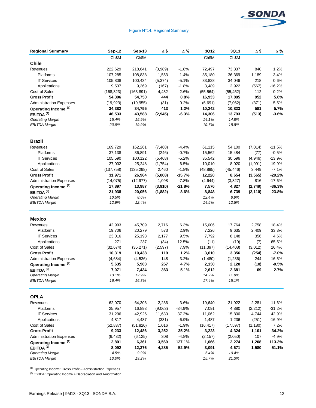

# Figure N°14: Regional Summary

| <b>Regional Summary</b>         | <b>Sep-12</b> | <b>Sep-13</b> | $\Delta$ \$ | $\Delta$ % | 3Q12      | 3Q13      | $\Delta$ \$ | $\Delta$ % |
|---------------------------------|---------------|---------------|-------------|------------|-----------|-----------|-------------|------------|
|                                 | Ch\$M         | Ch\$M         |             |            | Ch\$M     | Ch\$M     |             |            |
| <b>Chile</b>                    |               |               |             |            |           |           |             |            |
| Revenues                        | 222,629       | 218,641       | (3,989)     | $-1.8%$    | 72,497    | 73,337    | 840         | 1.2%       |
| Platforms                       | 107,285       | 108,838       | 1,553       | 1.4%       | 35,180    | 36,369    | 1,189       | 3.4%       |
| <b>IT Services</b>              | 105,808       | 100,434       | (5, 374)    | $-5.1%$    | 33,828    | 34,046    | 218         | 0.6%       |
| Applications                    | 9,537         | 9,369         | (167)       | $-1.8%$    | 3,489     | 2,922     | (567)       | $-16.2%$   |
| Cost of Sales                   | (168, 323)    | (163, 891)    | 4,432       | $-2.6%$    | (55, 564) | (55, 452) | 112         | $-0.2%$    |
| <b>Gross Profit</b>             | 54,306        | 54,750        | 444         | 0.8%       | 16,933    | 17,885    | 952         | 5.6%       |
| <b>Administration Expenses</b>  | (19, 923)     | (19, 955)     | (31)        | 0.2%       | (6,691)   | (7,062)   | (371)       | 5.5%       |
| Operating Income <sup>(1)</sup> | 34,382        | 34,795        | 413         | 1.2%       | 10,242    | 10,823    | 581         | 5.7%       |
| EBITDA <sup>(2)</sup>           | 46,533        | 43,588        | (2, 945)    | $-6.3%$    | 14,306    | 13,793    | (513)       | $-3.6%$    |
| <b>Operating Margin</b>         | 15.4%         | 15.9%         |             |            | 14.1%     | 14.8%     |             |            |
| <b>EBITDA Margin</b>            | 20.9%         | 19.9%         |             |            | 19.7%     | 18.8%     |             |            |
| <b>Brazil</b>                   |               |               |             |            |           |           |             |            |
| Revenues                        | 169,729       | 162,261       | (7, 468)    | $-4.4%$    | 61,115    | 54,100    | (7,014)     | $-11.5%$   |
| Platforms                       | 37,138        | 36,891        | (246)       | $-0.7%$    | 15,562    | 15,484    | (77)        | $-0.5%$    |
| <b>IT Services</b>              | 105,590       | 100,122       | (5, 468)    | $-5.2%$    | 35,542    | 30,596    | (4,946)     | $-13.9%$   |
| Applications                    | 27,002        | 25,248        | (1,754)     | $-6.5%$    | 10,010    | 8,020     | (1,991)     | $-19.9%$   |
| Cost of Sales                   | (137, 758)    | (135, 298)    | 2,460       | $-1.8%$    | (48, 895) | (45, 446) | 3,449       | $-7.1%$    |
| <b>Gross Profit</b>             | 31,971        | 26,964        | (5,008)     | $-15.7%$   | 12,220    | 8,654     | (3, 565)    | $-29.2%$   |
| <b>Administration Expenses</b>  | (14, 075)     | (12, 977)     | 1,098       | $-7.8%$    | (4,644)   | (3,827)   | 816         | $-17.6%$   |
| Operating Income (1)            | 17,897        | 13,987        | (3,910)     | $-21.8%$   | 7,576     | 4,827     | (2,749)     | $-36.3%$   |
| EBITDA $(2)$                    | 21,938        | 20,056        | (1,882)     | $-8.6%$    | 8,848     | 6,739     | (2, 110)    | $-23.8%$   |
| <b>Operating Margin</b>         | 10.5%         | 8.6%          |             |            | 12.4%     | 8.9%      |             |            |
| EBITDA Margin                   | 12.9%         | 12.4%         |             |            | 14.5%     | 12.5%     |             |            |
| <b>Mexico</b>                   |               |               |             |            |           |           |             |            |
| Revenues                        | 42,993        | 45,709        | 2,716       | 6.3%       | 15,006    | 17,764    | 2,758       | 18.4%      |
| Platforms                       | 19,706        | 20,279        | 573         | 2.9%       | 7,226     | 9,635     | 2,409       | 33.3%      |
| <b>IT Services</b>              | 23,016        | 25,193        | 2,177       | 9.5%       | 7,792     | 8,148     | 356         | 4.6%       |
| Applications                    | 271           | 237           | (34)        | $-12.5%$   | (11)      | (19)      | (7)         | 65.5%      |
| Cost of Sales                   | (32, 674)     | (35, 271)     | (2, 597)    | 7.9%       | (11, 397) | (14, 408) | (3,012)     | 26.4%      |
| <b>Gross Profit</b>             | 10,319        | 10,438        | 119         | 1.2%       | 3,610     | 3,356     | (254)       | $-7.0%$    |
| <b>Administration Expenses</b>  | (4,684)       | (4, 536)      | 148         | $-3.2%$    | (1,480)   | (1,236)   | 244         | $-16.5%$   |
| Operating Income (1)            | 5,635         | 5,903         | 267         | 4.7%       | 2,130     | 2,120     | (10)        | $-0.5%$    |
| EBITDA <sup>(2)</sup>           | 7,071         | 7,434         | 363         | 5.1%       | 2,612     | 2,681     | 69          | 2.7%       |
| <b>Operating Margin</b>         | 13.1%         | 12.9%         |             |            | 14.2%     | 11.9%     |             |            |
| <b>EBITDA Margin</b>            | 16.4%         | 16.3%         |             |            | 17.4%     | 15.1%     |             |            |
| <b>OPLA</b>                     |               |               |             |            |           |           |             |            |
| Revenues                        | 62,070        | 64,306        | 2,236       | 3.6%       | 19,640    | 21,922    | 2,281       | 11.6%      |
| Platforms                       | 25,957        | 16,893        | (9,063)     | $-34.9%$   | 7,091     | 4,880     | (2, 212)    | $-31.2%$   |
| <b>IT Services</b>              | 31,296        | 42,926        | 11,630      | 37.2%      | 11,062    | 15,806    | 4,744       | 42.9%      |
| Applications                    | 4,817         | 4,487         | (331)       | $-6.9%$    | 1,487     | 1,236     | (251)       | $-16.9%$   |
| Cost of Sales                   | (52, 837)     | (51, 820)     | 1,016       | $-1.9%$    | (16, 417) | (17, 597) | (1, 180)    | 7.2%       |
| <b>Gross Profit</b>             | 9,233         | 12,486        | 3,252       | 35.2%      | 3,223     | 4,324     | 1,101       | 34.2%      |
| <b>Administration Expenses</b>  | (6, 432)      | (6, 125)      | 308         | $-4.8%$    | (2, 157)  | (2,050)   | 107         | $-4.9%$    |
| Operating Income (1)            | 2,801         | 6,361         | 3,560       | 127.1%     | 1,066     | 2,274     | 1,208       | 113.3%     |
| EBITDA $(2)$                    | 8,092         | 12,376        | 4,285       | 52.9%      | 3,091     | 4,671     | 1,580       | 51.1%      |
| <b>Operating Margin</b>         | 4.5%          | 9.9%          |             |            | 5.4%      | 10.4%     |             |            |
| <b>EBITDA Margin</b>            | 13.0%         | 19.2%         |             |            | 15.7%     | 21.3%     |             |            |

 $(1)$  Operating Income: Gross Profit – Administration Expenses

(2) EBITDA: Operating Income + Depreciation and Amortization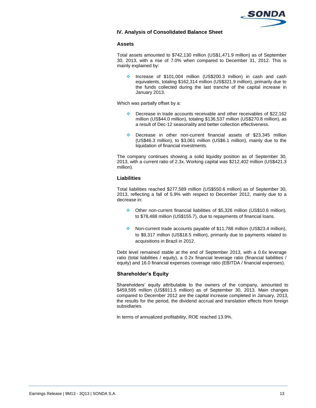

# **IV. Analysis of Consolidated Balance Sheet**

# **Assets**

Total assets amounted to \$742,130 million (US\$1,471.9 million) as of September 30, 2013, with a rise of 7.0% when compared to December 31, 2012. This is mainly explained by:

 Increase of \$101,004 million (US\$200.3 million) in cash and cash equivalents, totaling \$162,314 million (US\$321.9 million), primarily due to the funds collected during the last tranche of the capital increase in January 2013.

Which was partially offset by a:

- Decrease in trade accounts receivable and other receivables of \$22,162 million (US\$44.0 million), totaling \$136,537 million (US\$270.8 million), as a result of Dec-12 seasonality and better collection effectiveness.
- Decrease in other non-current financial assets of \$23,345 million (US\$46.3 million), to \$3,061 million (US\$6.1 million), mainly due to the liquidation of financial investments.

The company continues showing a solid liquidity position as of September 30, 2013, with a current ratio of 2.3x. Working capital was \$212,402 million (US\$421.3 million).

# **Liabilities**

Total liabilities reached \$277,589 million (US\$550.6 million) as of September 30, 2013, reflecting a fall of 5.9% with respect to December 2012, mainly due to a decrease in:

- Other non-current financial liabilities of \$5,326 million (US\$10.6 million), to \$78,488 million (US\$155.7), due to repayments of financial loans.
- \* Non-current trade accounts payable of \$11,788 million (US\$23.4 million), to \$9,317 million (US\$18.5 million), primarily due to payments related to acquisitions in Brazil in 2012.

Debt level remained stable at the end of September 2013, with a 0.6x leverage ratio (total liabilities / equity), a 0.2x financial leverage ratio (financial liabilities / equity) and 16.0 financial expenses coverage ratio (EBITDA / financial expenses).

# **Shareholder's Equity**

Shareholders' equity attributable to the owners of the company, amounted to \$459,595 million (US\$911.5 million) as of September 30, 2013. Main changes compared to December 2012 are the capital increase completed in January, 2013, the results for the period, the dividend accrual and translation effects from foreign subsidiaries.

In terms of annualized profitability, ROE reached 13.9%.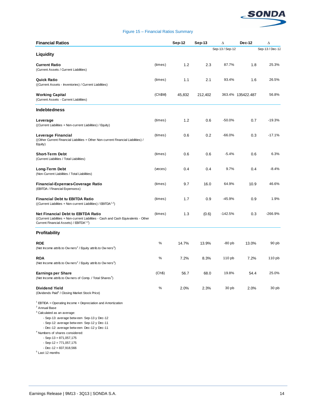

# Figure 15 – Financial Ratios Summary

| <b>Financial Ratios</b>                                                                                                                                                                                                                                                                                                                                                                                                                                 |         | Sep-12 | Sep-13  | Δ               | <b>Dec-12</b>     | Δ               |
|---------------------------------------------------------------------------------------------------------------------------------------------------------------------------------------------------------------------------------------------------------------------------------------------------------------------------------------------------------------------------------------------------------------------------------------------------------|---------|--------|---------|-----------------|-------------------|-----------------|
| Liquidity                                                                                                                                                                                                                                                                                                                                                                                                                                               |         |        |         | Sep-13 / Sep-12 |                   | Sep-13 / Dec-12 |
| <b>Current Ratio</b><br>(Current Assets / Current Liabilities)                                                                                                                                                                                                                                                                                                                                                                                          | (times) | 1.2    | 2.3     | 87.7%           | 1.8               | 25.3%           |
| <b>Quick Ratio</b><br>((Current Assets - Inventories) / Current Liabilities)                                                                                                                                                                                                                                                                                                                                                                            | (times) | 1.1    | 2.1     | 93.4%           | 1.6               | 26.5%           |
| Working Capital<br>(Current Assets - Current Liabilities)                                                                                                                                                                                                                                                                                                                                                                                               | (Ch\$M) | 45,832 | 212,402 |                 | 363.4% 135422.487 | 56.8%           |
| <b>Indebtedness</b>                                                                                                                                                                                                                                                                                                                                                                                                                                     |         |        |         |                 |                   |                 |
| Leverage<br>((Current Liabilities + Non-current Liabilities) / Equity)                                                                                                                                                                                                                                                                                                                                                                                  | (times) | 1.2    | 0.6     | $-50.0%$        | 0.7               | $-19.3%$        |
| Leverage Financial<br>((Other Current Financial Liabilities + Other Non-current Financial Liabilities) /<br>Equity)                                                                                                                                                                                                                                                                                                                                     | (times) | 0.6    | 0.2     | $-66.0%$        | 0.3               | $-17.1%$        |
| <b>Short-Term Debt</b><br>(Current Liabilities / Total Liabilities)                                                                                                                                                                                                                                                                                                                                                                                     | (times) | 0.6    | 0.6     | $-5.4%$         | 0.6               | 6.3%            |
| Long-Term Debt<br>(Non-Current Liabilities / Total Liabilities)                                                                                                                                                                                                                                                                                                                                                                                         | (veces) | 0.4    | 0.4     | 9.7%            | 0.4               | $-8.4%$         |
| Financial-Expenses-Coverage Ratio<br>(EBITDA / Financial Expensess)                                                                                                                                                                                                                                                                                                                                                                                     | (times) | 9.7    | 16.0    | 64.9%           | 10.9              | 46.6%           |
| Financial Debt tu EBITDA Ratio<br>((Current Liabilities + Non-current Liabilities) / EBITDA <sup>1,2</sup> )                                                                                                                                                                                                                                                                                                                                            | (times) | 1.7    | 0.9     | -45.9%          | 0.9               | 1.9%            |
| <b>Net Financial Debt to EBITDA Ratio</b><br>((Current Liabilities + Non-current Liabilities - Cash and Cash Equivalents - Other<br>Current Financial Assets) / EBITDA <sup>1,2</sup> )                                                                                                                                                                                                                                                                 | (times) | 1.3    | (0.6)   | $-142.5%$       | 0.3               | $-266.9%$       |
| <b>Profitability</b>                                                                                                                                                                                                                                                                                                                                                                                                                                    |         |        |         |                 |                   |                 |
| ROE<br>(Net Income attrib.to Ow ners <sup>2</sup> / Equity attrib.to Ow ners <sup>3</sup> )                                                                                                                                                                                                                                                                                                                                                             | ℅       | 14.7%  | 13.9%   | -80 pb          | 13.0%             | 90 pb           |
| <b>ROA</b><br>(Net Income attrib.to Owners <sup>2</sup> / Equity attrib.to Owners <sup>3</sup> )                                                                                                                                                                                                                                                                                                                                                        | %       | 7.2%   | 8.3%    | 110 pb          | 7.2%              | 110 pb          |
| <b>Earnings per Share</b><br>(Net Income attrib.to Ow ners of Comp. / Total Shares <sup>4</sup> )                                                                                                                                                                                                                                                                                                                                                       | (Ch\$)  | 56.7   | 68.0    | 19.8%           | 54.4              | 25.0%           |
| Dividend Yield<br>(Dividends Paid <sup>5</sup> / Closing Market Stock Price)                                                                                                                                                                                                                                                                                                                                                                            | %       | 2.0%   | 2.3%    | 30 pb           | 2.0%              | 30 pb           |
| <sup>1</sup> EBTIDA = Operating Income + Depreciation and Amortization<br><sup>2</sup> Annual Base<br><sup>3</sup> Calculated as an average:<br>- Sep-13: average between Sep-13 y Dec-12<br>- Sep-12: average between Sep-12 y Dec-11<br>- Dec-12: average between Dec-12 y Dec-11<br><sup>4</sup> Numbers of shares considered:<br>$-$ Sep-13 = 871,057,175<br>$-$ Sep-12 = 771,057,175<br>$-$ Dec $-12 = 837,918,566$<br><sup>5</sup> Last 12 months |         |        |         |                 |                   |                 |